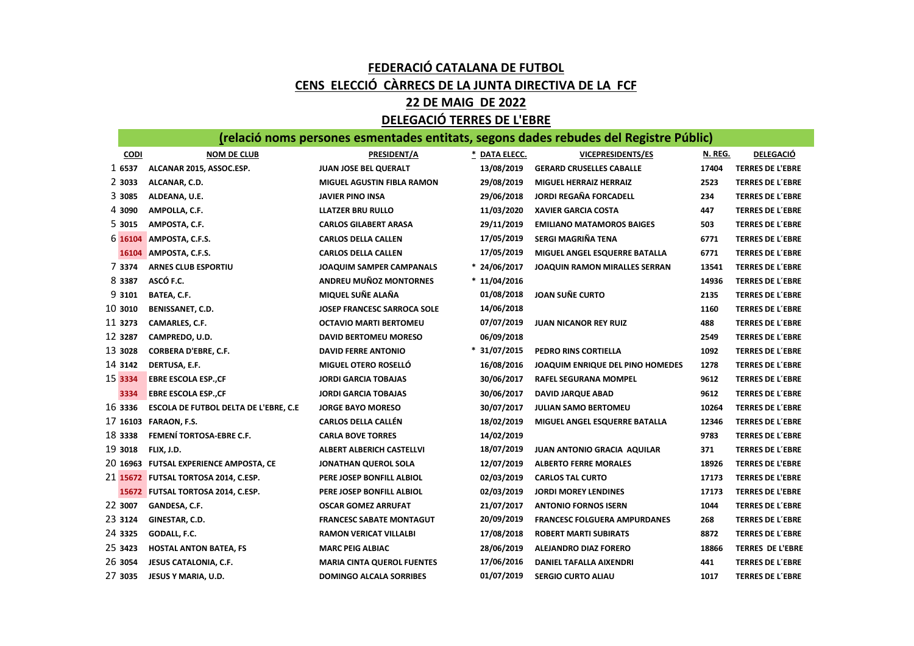## FEDERACIÓ CATALANA DE FUTBOL CENS ELECCIÓ CÀRRECS DE LA JUNTA DIRECTIVA DE LA FCF

## 22 DE MAIG DE 2022

## DELEGACIÓ TERRES DE L'EBRE

|             | (relació noms persones esmentades entitats, segons dades rebudes del Registre Públic) |                                    |                |                                     |         |                         |  |  |  |
|-------------|---------------------------------------------------------------------------------------|------------------------------------|----------------|-------------------------------------|---------|-------------------------|--|--|--|
| <b>CODI</b> | <b>NOM DE CLUB</b>                                                                    | PRESIDENT/A                        | * DATA ELECC.  | <b>VICEPRESIDENTS/ES</b>            | N. REG. | <b>DELEGACIÓ</b>        |  |  |  |
| 1 6537      | ALCANAR 2015, ASSOC.ESP.                                                              | JUAN JOSE BEL QUERALT              | 13/08/2019     | <b>GERARD CRUSELLES CABALLE</b>     | 17404   | <b>TERRES DE L'EBRE</b> |  |  |  |
| 2 3033      | ALCANAR, C.D.                                                                         | <b>MIGUEL AGUSTIN FIBLA RAMON</b>  | 29/08/2019     | <b>MIGUEL HERRAIZ HERRAIZ</b>       | 2523    | <b>TERRES DE L'EBRE</b> |  |  |  |
| 3 3085      | ALDEANA, U.E.                                                                         | <b>JAVIER PINO INSA</b>            | 29/06/2018     | <b>JORDI REGAÑA FORCADELL</b>       | 234     | <b>TERRES DE L'EBRE</b> |  |  |  |
| 4 3090      | AMPOLLA, C.F.                                                                         | LLATZER BRU RULLO                  | 11/03/2020     | <b>XAVIER GARCIA COSTA</b>          | 447     | <b>TERRES DE L'EBRE</b> |  |  |  |
| 5 3015      | AMPOSTA, C.F.                                                                         | <b>CARLOS GILABERT ARASA</b>       | 29/11/2019     | <b>EMILIANO MATAMOROS BAIGES</b>    | 503     | <b>TERRES DE L'EBRE</b> |  |  |  |
| 6 16104     | AMPOSTA, C.F.S.                                                                       | <b>CARLOS DELLA CALLEN</b>         | 17/05/2019     | SERGI MAGRIÑA TENA                  | 6771    | <b>TERRES DE L'EBRE</b> |  |  |  |
|             | 16104 AMPOSTA, C.F.S.                                                                 | <b>CARLOS DELLA CALLEN</b>         | 17/05/2019     | MIGUEL ANGEL ESQUERRE BATALLA       | 6771    | <b>TERRES DE L'EBRE</b> |  |  |  |
| 7 3374      | <b>ARNES CLUB ESPORTIU</b>                                                            | JOAQUIM SAMPER CAMPANALS           | * 24/06/2017   | JOAQUIN RAMON MIRALLES SERRAN       | 13541   | <b>TERRES DE L'EBRE</b> |  |  |  |
| 8 3387      | ASCÓ F.C.                                                                             | <b>ANDREU MUÑOZ MONTORNES</b>      | * 11/04/2016   |                                     | 14936   | <b>TERRES DE L'EBRE</b> |  |  |  |
| 9 3101      | BATEA, C.F.                                                                           | MIQUEL SUÑE ALAÑA                  | 01/08/2018     | <b>JOAN SUÑE CURTO</b>              | 2135    | <b>TERRES DE L'EBRE</b> |  |  |  |
| 10 3010     | <b>BENISSANET, C.D.</b>                                                               | <b>JOSEP FRANCESC SARROCA SOLE</b> | 14/06/2018     |                                     | 1160    | <b>TERRES DE L'EBRE</b> |  |  |  |
| 11 3273     | CAMARLES, C.F.                                                                        | <b>OCTAVIO MARTI BERTOMEU</b>      | 07/07/2019     | <b>JUAN NICANOR REY RUIZ</b>        | 488     | <b>TERRES DE L'EBRE</b> |  |  |  |
| 12 3287     | CAMPREDO, U.D.                                                                        | <b>DAVID BERTOMEU MORESO</b>       | 06/09/2018     |                                     | 2549    | <b>TERRES DE L'EBRE</b> |  |  |  |
| 13 3028     | <b>CORBERA D'EBRE, C.F.</b>                                                           | <b>DAVID FERRE ANTONIO</b>         | $* 31/07/2015$ | <b>PEDRO RINS CORTIELLA</b>         | 1092    | <b>TERRES DE L'EBRE</b> |  |  |  |
| 14 3142     | DERTUSA, E.F.                                                                         | MIGUEL OTERO ROSELLÓ               | 16/08/2016     | JOAQUIM ENRIQUE DEL PINO HOMEDES    | 1278    | <b>TERRES DE L'EBRE</b> |  |  |  |
| 15 3334     | <b>EBRE ESCOLA ESP., CF</b>                                                           | <b>JORDI GARCIA TOBAJAS</b>        | 30/06/2017     | <b>RAFEL SEGURANA MOMPEL</b>        | 9612    | <b>TERRES DE L'EBRE</b> |  |  |  |
| 3334        | <b>EBRE ESCOLA ESP., CF</b>                                                           | <b>JORDI GARCIA TOBAJAS</b>        | 30/06/2017     | <b>DAVID JARQUE ABAD</b>            | 9612    | <b>TERRES DE L'EBRE</b> |  |  |  |
| 16 3336     | ESCOLA DE FUTBOL DELTA DE L'EBRE, C.E                                                 | <b>JORGE BAYO MORESO</b>           | 30/07/2017     | <b>JULIAN SAMO BERTOMEU</b>         | 10264   | <b>TERRES DE L'EBRE</b> |  |  |  |
|             | 17 16103 FARAON, F.S.                                                                 | <b>CARLOS DELLA CALLÉN</b>         | 18/02/2019     | MIGUEL ANGEL ESQUERRE BATALLA       | 12346   | <b>TERRES DE L'EBRE</b> |  |  |  |
| 18 3338     | FEMENÍ TORTOSA-EBRE C.F.                                                              | <b>CARLA BOVE TORRES</b>           | 14/02/2019     |                                     | 9783    | <b>TERRES DE L'EBRE</b> |  |  |  |
| 19 3018     | FLIX, J.D.                                                                            | <b>ALBERT ALBERICH CASTELLVI</b>   | 18/07/2019     | <b>JUAN ANTONIO GRACIA AQUILAR</b>  | 371     | <b>TERRES DE L'EBRE</b> |  |  |  |
|             | 20 16963 FUTSAL EXPERIENCE AMPOSTA, CE                                                | JONATHAN QUEROL SOLA               | 12/07/2019     | <b>ALBERTO FERRE MORALES</b>        | 18926   | <b>TERRES DE L'EBRE</b> |  |  |  |
|             | 21 15672 FUTSAL TORTOSA 2014, C.ESP.                                                  | PERE JOSEP BONFILL ALBIOL          | 02/03/2019     | <b>CARLOS TAL CURTO</b>             | 17173   | <b>TERRES DE L'EBRE</b> |  |  |  |
|             | 15672 FUTSAL TORTOSA 2014, C.ESP.                                                     | PERE JOSEP BONFILL ALBIOL          | 02/03/2019     | <b>JORDI MOREY LENDINES</b>         | 17173   | <b>TERRES DE L'EBRE</b> |  |  |  |
| 22 3007     | GANDESA, C.F.                                                                         | <b>OSCAR GOMEZ ARRUFAT</b>         | 21/07/2017     | <b>ANTONIO FORNOS ISERN</b>         | 1044    | <b>TERRES DE L'EBRE</b> |  |  |  |
| 23 3124     | GINESTAR, C.D.                                                                        | <b>FRANCESC SABATE MONTAGUT</b>    | 20/09/2019     | <b>FRANCESC FOLGUERA AMPURDANES</b> | 268     | <b>TERRES DE L'EBRE</b> |  |  |  |
| 24 3325     | GODALL, F.C.                                                                          | <b>RAMON VERICAT VILLALBI</b>      | 17/08/2018     | <b>ROBERT MARTI SUBIRATS</b>        | 8872    | <b>TERRES DE L'EBRE</b> |  |  |  |
| 25 3423     | <b>HOSTAL ANTON BATEA, FS</b>                                                         | <b>MARC PEIG ALBIAC</b>            | 28/06/2019     | ALEJANDRO DIAZ FORERO               | 18866   | <b>TERRES DE L'EBRE</b> |  |  |  |
| 26 3054     | JESUS CATALONIA, C.F.                                                                 | <b>MARIA CINTA QUEROL FUENTES</b>  | 17/06/2016     | DANIEL TAFALLA AIXENDRI             | 441     | <b>TERRES DE L'EBRE</b> |  |  |  |
| 27 3035     | JESUS Y MARIA, U.D.                                                                   | <b>DOMINGO ALCALA SORRIBES</b>     | 01/07/2019     | <b>SERGIO CURTO ALIAU</b>           | 1017    | <b>TERRES DE L'EBRE</b> |  |  |  |